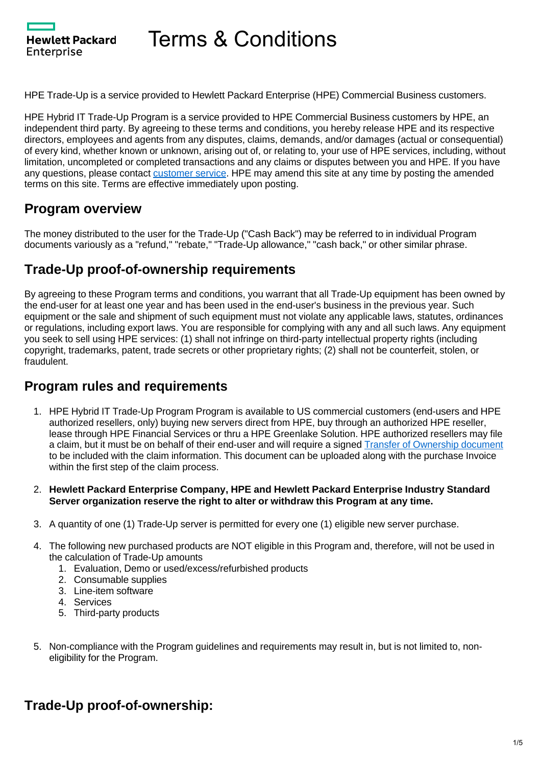**Hewlett Packard** Enterprise

HPE Trade-Up is a service provided to Hewlett Packard Enterprise (HPE) Commercial Business customers.

HPE Hybrid IT Trade-Up Program is a service provided to HPE Commercial Business customers by HPE, an independent third party. By agreeing to these terms and conditions, you hereby release HPE and its respective directors, employees and agents from any disputes, claims, demands, and/or damages (actual or consequential) of every kind, whether known or unknown, arising out of, or relating to, your use of HPE services, including, without limitation, uncompleted or completed transactions and any claims or disputes between you and HPE. If you have any questions, please contact [customer service.](https://promotions.ext.hpe.com/WMCF.Web/us/en/promotion/25005/Support/?ocugid=25005) HPE may amend this site at any time by posting the amended terms on this site. Terms are effective immediately upon posting.

### **Program overview**

The money distributed to the user for the Trade-Up ("Cash Back") may be referred to in individual Program documents variously as a "refund," "rebate," "Trade-Up allowance," "cash back," or other similar phrase.

### **Trade-Up proof-of-ownership requirements**

By agreeing to these Program terms and conditions, you warrant that all Trade-Up equipment has been owned by the end-user for at least one year and has been used in the end-user's business in the previous year. Such equipment or the sale and shipment of such equipment must not violate any applicable laws, statutes, ordinances or regulations, including export laws. You are responsible for complying with any and all such laws. Any equipment you seek to sell using HPE services: (1) shall not infringe on third-party intellectual property rights (including copyright, trademarks, patent, trade secrets or other proprietary rights; (2) shall not be counterfeit, stolen, or fraudulent.

### **Program rules and requirements**

- 1. HPE Hybrid IT Trade-Up Program Program is available to US commercial customers (end-users and HPE authorized resellers, only) buying new servers direct from HPE, buy through an authorized HPE reseller, lease through HPE Financial Services or thru a HPE Greenlake Solution. HPE authorized resellers may file a claim, but it must be on behalf of their end-user and will require a signed [Transfer of Ownership document](https://promotions.ext.hpe.com/Docs/HPE_transfer_of_ownership_US_EN.pdf) to be included with the claim information. This document can be uploaded along with the purchase Invoice within the first step of the claim process.
- 2. **Hewlett Packard Enterprise Company, HPE and Hewlett Packard Enterprise Industry Standard Server organization reserve the right to alter or withdraw this Program at any time.**
- 3. A quantity of one (1) Trade-Up server is permitted for every one (1) eligible new server purchase.
- 4. The following new purchased products are NOT eligible in this Program and, therefore, will not be used in the calculation of Trade-Up amounts
	- 1. Evaluation, Demo or used/excess/refurbished products
	- 2. Consumable supplies
	- 3. Line-item software
	- 4. Services
	- 5. Third-party products
- 5. Non-compliance with the Program guidelines and requirements may result in, but is not limited to, noneligibility for the Program.

## **Trade-Up proof-of-ownership:**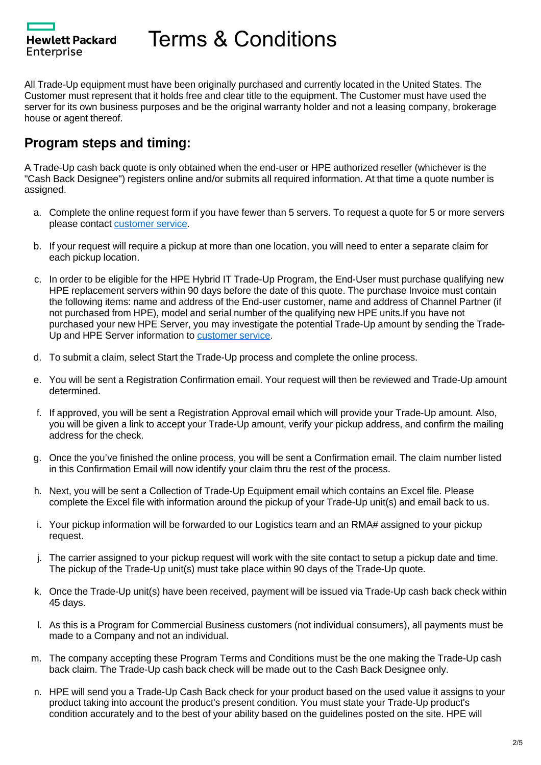**Hewlett Packard** Enterprise

All Trade-Up equipment must have been originally purchased and currently located in the United States. The Customer must represent that it holds free and clear title to the equipment. The Customer must have used the server for its own business purposes and be the original warranty holder and not a leasing company, brokerage house or agent thereof.

## **Program steps and timing:**

A Trade-Up cash back quote is only obtained when the end-user or HPE authorized reseller (whichever is the "Cash Back Designee") registers online and/or submits all required information. At that time a quote number is assigned.

- a. Complete the online request form if you have fewer than 5 servers. To request a quote for 5 or more servers please contact [customer service.](https://promotions.ext.hpe.com/WMCF.Web/us/en/promotion/25005/Support/?ocugid=25005)
- b. If your request will require a pickup at more than one location, you will need to enter a separate claim for each pickup location.
- c. In order to be eligible for the HPE Hybrid IT Trade-Up Program, the End-User must purchase qualifying new HPE replacement servers within 90 days before the date of this quote. The purchase Invoice must contain the following items: name and address of the End-user customer, name and address of Channel Partner (if not purchased from HPE), model and serial number of the qualifying new HPE units.If you have not purchased your new HPE Server, you may investigate the potential Trade-Up amount by sending the Trade-Up and HPE Server information to [customer service](https://promotions.ext.hpe.com/WMCF.Web/us/en/promotion/25005/Support/?ocugid=25005).
- d. To submit a claim, select Start the Trade-Up process and complete the online process.
- e. You will be sent a Registration Confirmation email. Your request will then be reviewed and Trade-Up amount determined.
- f. If approved, you will be sent a Registration Approval email which will provide your Trade-Up amount. Also, you will be given a link to accept your Trade-Up amount, verify your pickup address, and confirm the mailing address for the check.
- g. Once the you've finished the online process, you will be sent a Confirmation email. The claim number listed in this Confirmation Email will now identify your claim thru the rest of the process.
- h. Next, you will be sent a Collection of Trade-Up Equipment email which contains an Excel file. Please complete the Excel file with information around the pickup of your Trade-Up unit(s) and email back to us.
- i. Your pickup information will be forwarded to our Logistics team and an RMA# assigned to your pickup request.
- j. The carrier assigned to your pickup request will work with the site contact to setup a pickup date and time. The pickup of the Trade-Up unit(s) must take place within 90 days of the Trade-Up quote.
- k. Once the Trade-Up unit(s) have been received, payment will be issued via Trade-Up cash back check within 45 days.
- l. As this is a Program for Commercial Business customers (not individual consumers), all payments must be made to a Company and not an individual.
- m. The company accepting these Program Terms and Conditions must be the one making the Trade-Up cash back claim. The Trade-Up cash back check will be made out to the Cash Back Designee only.
- n. HPE will send you a Trade-Up Cash Back check for your product based on the used value it assigns to your product taking into account the product's present condition. You must state your Trade-Up product's condition accurately and to the best of your ability based on the guidelines posted on the site. HPE will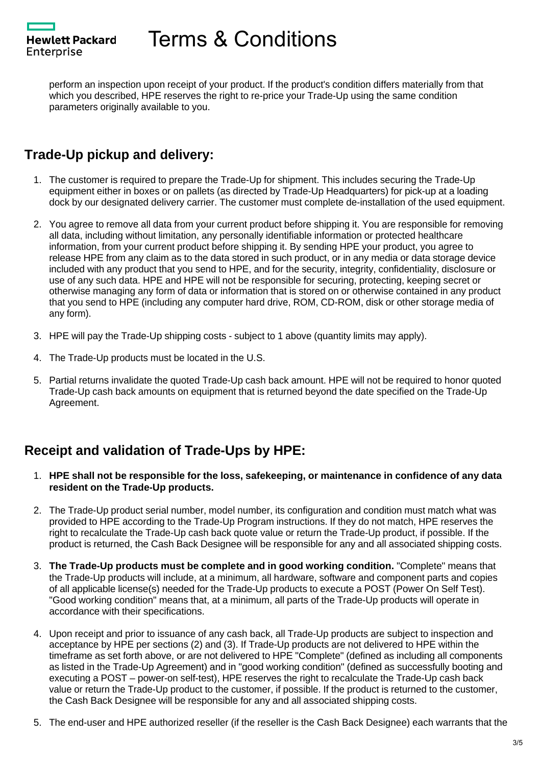**Hewlett Packard** Enterprise

perform an inspection upon receipt of your product. If the product's condition differs materially from that which you described, HPE reserves the right to re-price your Trade-Up using the same condition parameters originally available to you.

# **Trade-Up pickup and delivery:**

- 1. The customer is required to prepare the Trade-Up for shipment. This includes securing the Trade-Up equipment either in boxes or on pallets (as directed by Trade-Up Headquarters) for pick-up at a loading dock by our designated delivery carrier. The customer must complete de-installation of the used equipment.
- 2. You agree to remove all data from your current product before shipping it. You are responsible for removing all data, including without limitation, any personally identifiable information or protected healthcare information, from your current product before shipping it. By sending HPE your product, you agree to release HPE from any claim as to the data stored in such product, or in any media or data storage device included with any product that you send to HPE, and for the security, integrity, confidentiality, disclosure or use of any such data. HPE and HPE will not be responsible for securing, protecting, keeping secret or otherwise managing any form of data or information that is stored on or otherwise contained in any product that you send to HPE (including any computer hard drive, ROM, CD-ROM, disk or other storage media of any form).
- 3. HPE will pay the Trade-Up shipping costs subject to 1 above (quantity limits may apply).
- 4. The Trade-Up products must be located in the U.S.
- 5. Partial returns invalidate the quoted Trade-Up cash back amount. HPE will not be required to honor quoted Trade-Up cash back amounts on equipment that is returned beyond the date specified on the Trade-Up Agreement.

# **Receipt and validation of Trade-Ups by HPE:**

- 1. **HPE shall not be responsible for the loss, safekeeping, or maintenance in confidence of any data resident on the Trade-Up products.**
- 2. The Trade-Up product serial number, model number, its configuration and condition must match what was provided to HPE according to the Trade-Up Program instructions. If they do not match, HPE reserves the right to recalculate the Trade-Up cash back quote value or return the Trade-Up product, if possible. If the product is returned, the Cash Back Designee will be responsible for any and all associated shipping costs.
- 3. **The Trade-Up products must be complete and in good working condition.** "Complete" means that the Trade-Up products will include, at a minimum, all hardware, software and component parts and copies of all applicable license(s) needed for the Trade-Up products to execute a POST (Power On Self Test). "Good working condition" means that, at a minimum, all parts of the Trade-Up products will operate in accordance with their specifications.
- 4. Upon receipt and prior to issuance of any cash back, all Trade-Up products are subject to inspection and acceptance by HPE per sections (2) and (3). If Trade-Up products are not delivered to HPE within the timeframe as set forth above, or are not delivered to HPE "Complete" (defined as including all components as listed in the Trade-Up Agreement) and in "good working condition" (defined as successfully booting and executing a POST – power-on self-test), HPE reserves the right to recalculate the Trade-Up cash back value or return the Trade-Up product to the customer, if possible. If the product is returned to the customer, the Cash Back Designee will be responsible for any and all associated shipping costs.
- 5. The end-user and HPE authorized reseller (if the reseller is the Cash Back Designee) each warrants that the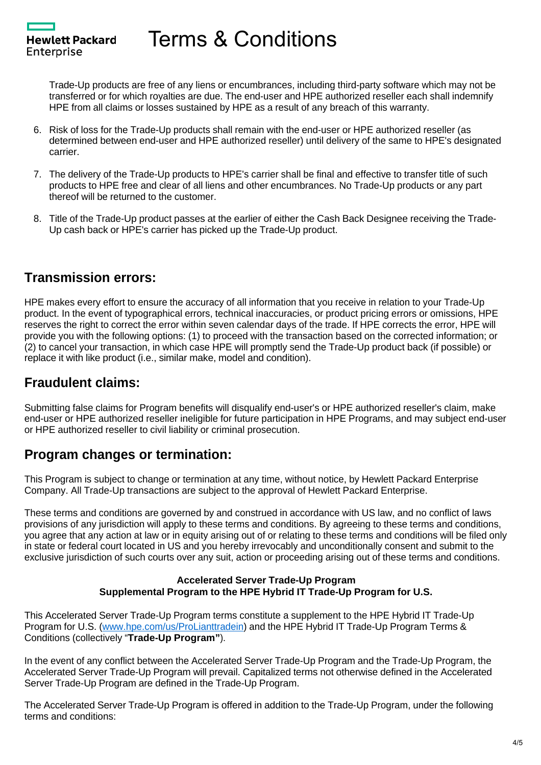Hewlett Packard Enterprise

Trade-Up products are free of any liens or encumbrances, including third-party software which may not be transferred or for which royalties are due. The end-user and HPE authorized reseller each shall indemnify HPE from all claims or losses sustained by HPE as a result of any breach of this warranty.

- 6. Risk of loss for the Trade-Up products shall remain with the end-user or HPE authorized reseller (as determined between end-user and HPE authorized reseller) until delivery of the same to HPE's designated carrier.
- 7. The delivery of the Trade-Up products to HPE's carrier shall be final and effective to transfer title of such products to HPE free and clear of all liens and other encumbrances. No Trade-Up products or any part thereof will be returned to the customer.
- 8. Title of the Trade-Up product passes at the earlier of either the Cash Back Designee receiving the Trade-Up cash back or HPE's carrier has picked up the Trade-Up product.

## **Transmission errors:**

HPE makes every effort to ensure the accuracy of all information that you receive in relation to your Trade-Up product. In the event of typographical errors, technical inaccuracies, or product pricing errors or omissions, HPE reserves the right to correct the error within seven calendar days of the trade. If HPE corrects the error, HPE will provide you with the following options: (1) to proceed with the transaction based on the corrected information; or (2) to cancel your transaction, in which case HPE will promptly send the Trade-Up product back (if possible) or replace it with like product (i.e., similar make, model and condition).

## **Fraudulent claims:**

Submitting false claims for Program benefits will disqualify end-user's or HPE authorized reseller's claim, make end-user or HPE authorized reseller ineligible for future participation in HPE Programs, and may subject end-user or HPE authorized reseller to civil liability or criminal prosecution.

## **Program changes or termination:**

This Program is subject to change or termination at any time, without notice, by Hewlett Packard Enterprise Company. All Trade-Up transactions are subject to the approval of Hewlett Packard Enterprise.

These terms and conditions are governed by and construed in accordance with US law, and no conflict of laws provisions of any jurisdiction will apply to these terms and conditions. By agreeing to these terms and conditions, you agree that any action at law or in equity arising out of or relating to these terms and conditions will be filed only in state or federal court located in US and you hereby irrevocably and unconditionally consent and submit to the exclusive jurisdiction of such courts over any suit, action or proceeding arising out of these terms and conditions.

#### **Accelerated Server Trade-Up Program Supplemental Program to the HPE Hybrid IT Trade-Up Program for U.S.**

This Accelerated Server Trade-Up Program terms constitute a supplement to the HPE Hybrid IT Trade-Up Program for U.S. ([www.hpe.com/us/ProLianttradein\)](http://www.hpe.com/us/ProLianttradein) and the HPE Hybrid IT Trade-Up Program Terms & Conditions (collectively "**Trade-Up Program"**).

In the event of any conflict between the Accelerated Server Trade-Up Program and the Trade-Up Program, the Accelerated Server Trade-Up Program will prevail. Capitalized terms not otherwise defined in the Accelerated Server Trade-Up Program are defined in the Trade-Up Program.

The Accelerated Server Trade-Up Program is offered in addition to the Trade-Up Program, under the following terms and conditions: